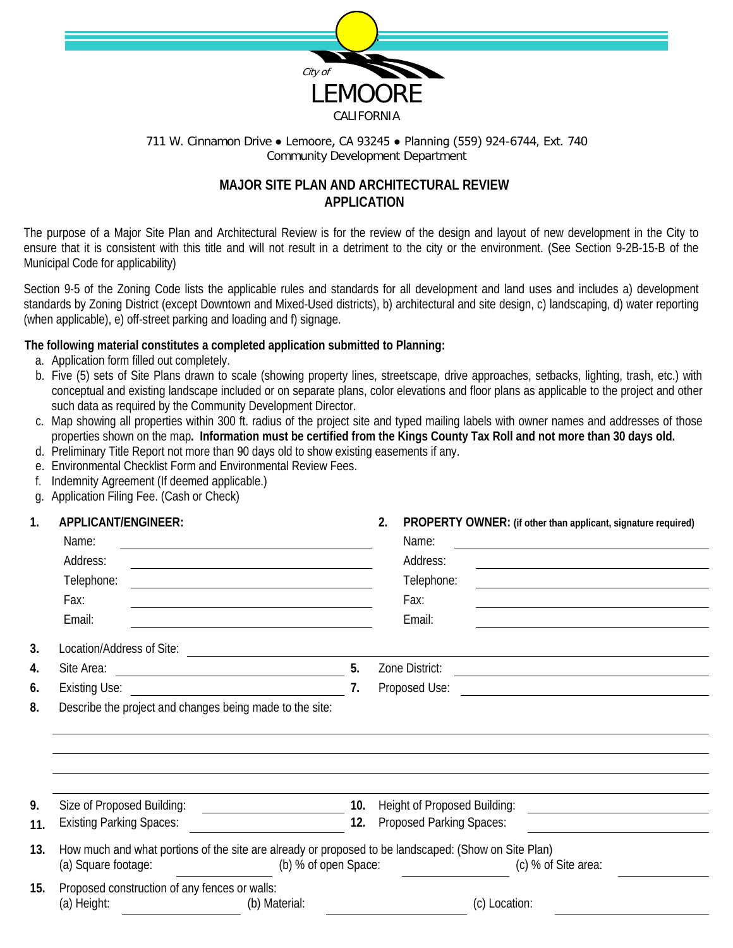

### 711 W. Cinnamon Drive ● Lemoore, CA 93245 ● Planning (559) 924-6744, Ext. 740 Community Development Department

# **MAJOR SITE PLAN AND ARCHITECTURAL REVIEW APPLICATION**

The purpose of a Major Site Plan and Architectural Review is for the review of the design and layout of new development in the City to ensure that it is consistent with this title and will not result in a detriment to the city or the environment. (See Section 9-2B-15-B of the Municipal Code for applicability)

Section 9-5 of the Zoning Code lists the applicable rules and standards for all development and land uses and includes a) development standards by Zoning District (except Downtown and Mixed-Used districts), b) architectural and site design, c) landscaping, d) water reporting (when applicable), e) off-street parking and loading and f) signage.

## **The following material constitutes a completed application submitted to Planning:**

- a. Application form filled out completely.
- b. Five (5) sets of Site Plans drawn to scale (showing property lines, streetscape, drive approaches, setbacks, lighting, trash, etc.) with conceptual and existing landscape included or on separate plans, color elevations and floor plans as applicable to the project and other such data as required by the Community Development Director.
- c. Map showing all properties within 300 ft. radius of the project site and typed mailing labels with owner names and addresses of those properties shown on the map**. Information must be certified from the Kings County Tax Roll and not more than 30 days old.**
- d. Preliminary Title Report not more than 90 days old to show existing easements if any.
- e. Environmental Checklist Form and Environmental Review Fees.
- f. Indemnity Agreement (If deemed applicable.)
- g. Application Filing Fee. (Cash or Check)

# **1. APPLICANT/ENGINEER: 2. PROPERTY OWNER: (if other than applicant, signature required)**

|     | ALL LIOANTILINOINLEIN.<br>Name:                                                                                             |                                                                                                                       |                | Name:                           | <b>TIVOL EIVIT OWNER, IN OUR MAN APPROACH, SIGNATURE ICQUIICU</b>                                                    |
|-----|-----------------------------------------------------------------------------------------------------------------------------|-----------------------------------------------------------------------------------------------------------------------|----------------|---------------------------------|----------------------------------------------------------------------------------------------------------------------|
|     | Address:                                                                                                                    |                                                                                                                       |                | Address:                        |                                                                                                                      |
|     | Telephone:                                                                                                                  |                                                                                                                       |                | Telephone:                      |                                                                                                                      |
|     | Fax:                                                                                                                        |                                                                                                                       |                | Fax:                            |                                                                                                                      |
|     | Email:                                                                                                                      |                                                                                                                       |                | Email:                          |                                                                                                                      |
| 3.  | Location/Address of Site:                                                                                                   | <u> 1989 - Johann Stein, mars and de Branch and de Branch and de Branch and de Branch and de Branch and de Branch</u> |                |                                 |                                                                                                                      |
| 4.  |                                                                                                                             |                                                                                                                       | 5.             | Zone District:                  | <u> Alexandria de la contrada de la contrada de la contrada de la contrada de la contrada de la contrada de la c</u> |
| 6.  |                                                                                                                             |                                                                                                                       | 7 <sub>1</sub> |                                 |                                                                                                                      |
| 8.  | Describe the project and changes being made to the site:                                                                    |                                                                                                                       |                |                                 |                                                                                                                      |
|     |                                                                                                                             |                                                                                                                       |                |                                 |                                                                                                                      |
|     |                                                                                                                             |                                                                                                                       |                |                                 |                                                                                                                      |
|     |                                                                                                                             |                                                                                                                       |                |                                 |                                                                                                                      |
| 9.  |                                                                                                                             |                                                                                                                       | 10.            | Height of Proposed Building:    |                                                                                                                      |
| 11. | <b>Existing Parking Spaces:</b>                                                                                             | <u> 1989 - Johann Barnett, fransk politiker (</u>                                                                     | 12.            | <b>Proposed Parking Spaces:</b> | <u> 1989 - Jan Barat, martin a</u>                                                                                   |
| 13. |                                                                                                                             |                                                                                                                       |                |                                 |                                                                                                                      |
|     | How much and what portions of the site are already or proposed to be landscaped: (Show on Site Plan)<br>(a) Square footage: | (b) % of open Space:                                                                                                  |                |                                 | (c) % of Site area:                                                                                                  |
| 15. | Proposed construction of any fences or walls:                                                                               |                                                                                                                       |                |                                 |                                                                                                                      |
|     | (a) Height:                                                                                                                 | (b) Material:                                                                                                         |                |                                 | (c) Location:                                                                                                        |